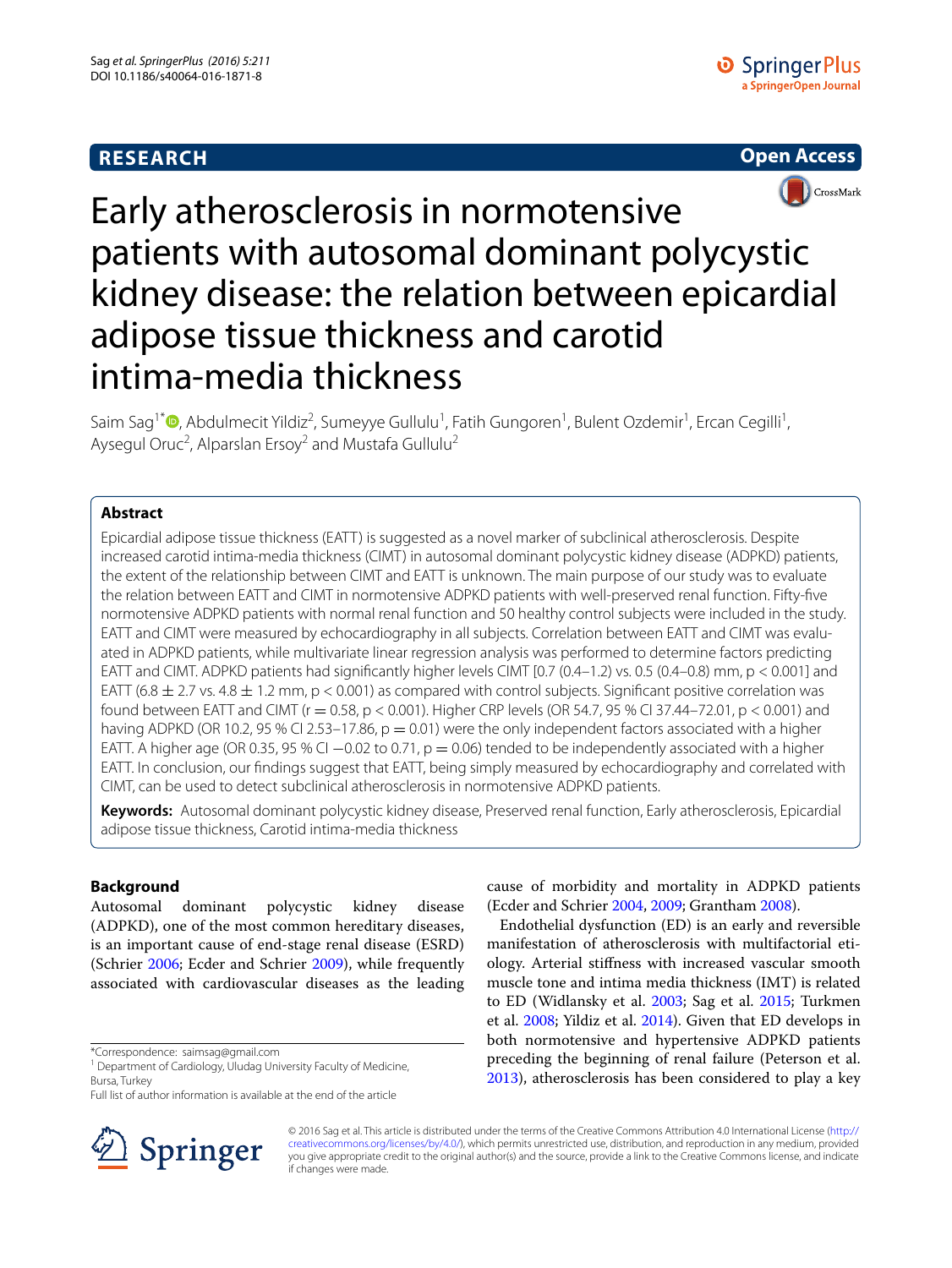# **RESEARCH**





# Early atherosclerosis in normotensive patients with autosomal dominant polycystic kidney disease: the relation between epicardial adipose tissue thickness and carotid intima-media thickness

Saim Sag<sup>1\*</sup><sup>®</sup>[,](http://orcid.org/0000-0001-8404-8252) Abdulmecit Yildiz<sup>2</sup>, Sumeyye Gullulu<sup>1</sup>, Fatih Gungoren<sup>1</sup>, Bulent Ozdemir<sup>1</sup>, Ercan Cegilli<sup>1</sup>, Aysegul Oruc<sup>2</sup>, Alparslan Ersoy<sup>2</sup> and Mustafa Gullulu<sup>2</sup>

# **Abstract**

Epicardial adipose tissue thickness (EATT) is suggested as a novel marker of subclinical atherosclerosis. Despite increased carotid intima-media thickness (CIMT) in autosomal dominant polycystic kidney disease (ADPKD) patients, the extent of the relationship between CIMT and EATT is unknown. The main purpose of our study was to evaluate the relation between EATT and CIMT in normotensive ADPKD patients with well-preserved renal function. Fifty-five normotensive ADPKD patients with normal renal function and 50 healthy control subjects were included in the study. EATT and CIMT were measured by echocardiography in all subjects. Correlation between EATT and CIMT was evaluated in ADPKD patients, while multivariate linear regression analysis was performed to determine factors predicting EATT and CIMT. ADPKD patients had significantly higher levels CIMT [0.7 (0.4–1.2) vs. 0.5 (0.4–0.8) mm, p < 0.001] and EATT (6.8  $\pm$  2.7 vs. 4.8  $\pm$  1.2 mm, p < 0.001) as compared with control subjects. Significant positive correlation was found between EATT and CIMT (r = 0.58, p < 0.001). Higher CRP levels (OR 54.7, 95 % CI 37.44–72.01, p < 0.001) and having ADPKD (OR 10.2, 95 % CI 2.53–17.86,  $p = 0.01$ ) were the only independent factors associated with a higher EATT. A higher age (OR 0.35, 95 % CI  $-0.02$  to 0.71, p = 0.06) tended to be independently associated with a higher EATT. In conclusion, our findings suggest that EATT, being simply measured by echocardiography and correlated with CIMT, can be used to detect subclinical atherosclerosis in normotensive ADPKD patients.

**Keywords:** Autosomal dominant polycystic kidney disease, Preserved renal function, Early atherosclerosis, Epicardial adipose tissue thickness, Carotid intima-media thickness

# **Background**

Autosomal dominant polycystic kidney disease (ADPKD), one of the most common hereditary diseases, is an important cause of end-stage renal disease (ESRD) (Schrier [2006](#page-6-0); Ecder and Schrier [2009\)](#page-5-0), while frequently associated with cardiovascular diseases as the leading

<sup>1</sup> Department of Cardiology, Uludag University Faculty of Medicine, Bursa, Turkey

Full list of author information is available at the end of the article



cause of morbidity and mortality in ADPKD patients (Ecder and Schrier [2004,](#page-5-1) [2009;](#page-5-0) Grantham [2008\)](#page-5-2).

Endothelial dysfunction (ED) is an early and reversible manifestation of atherosclerosis with multifactorial etiology. Arterial stiffness with increased vascular smooth muscle tone and intima media thickness (IMT) is related to ED (Widlansky et al. [2003](#page-6-1); Sag et al. [2015](#page-6-2); Turkmen et al. [2008](#page-6-3); Yildiz et al. [2014](#page-6-4)). Given that ED develops in both normotensive and hypertensive ADPKD patients preceding the beginning of renal failure (Peterson et al. [2013](#page-6-5)), atherosclerosis has been considered to play a key

© 2016 Sag et al. This article is distributed under the terms of the Creative Commons Attribution 4.0 International License ([http://](http://creativecommons.org/licenses/by/4.0/) [creativecommons.org/licenses/by/4.0/](http://creativecommons.org/licenses/by/4.0/)), which permits unrestricted use, distribution, and reproduction in any medium, provided you give appropriate credit to the original author(s) and the source, provide a link to the Creative Commons license, and indicate if changes were made.

<sup>\*</sup>Correspondence: saimsag@gmail.com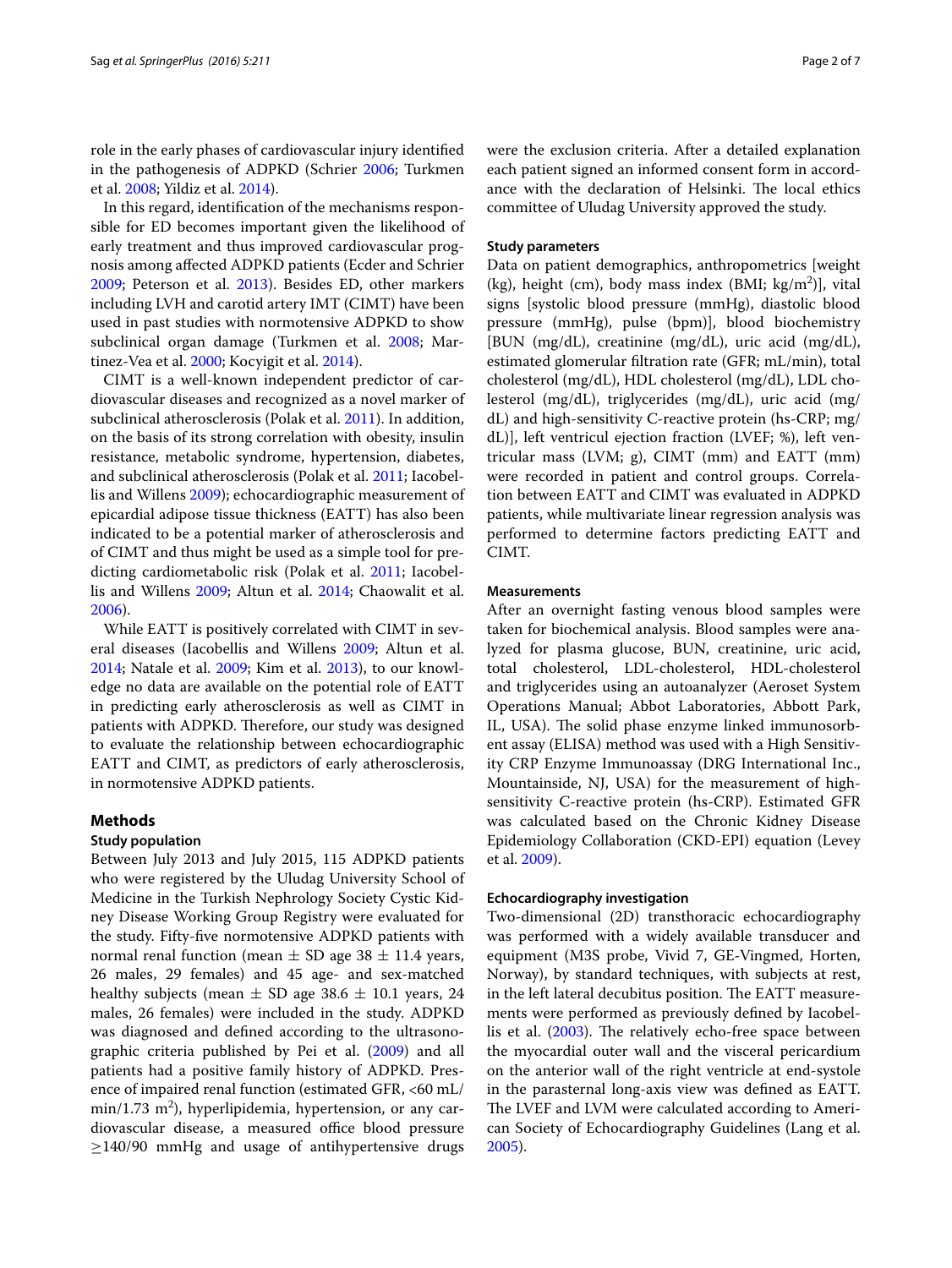role in the early phases of cardiovascular injury identified in the pathogenesis of ADPKD (Schrier [2006](#page-6-0); Turkmen et al. [2008;](#page-6-3) Yildiz et al. [2014](#page-6-4)).

In this regard, identification of the mechanisms responsible for ED becomes important given the likelihood of early treatment and thus improved cardiovascular prognosis among affected ADPKD patients (Ecder and Schrier [2009](#page-5-0); Peterson et al. [2013\)](#page-6-5). Besides ED, other markers including LVH and carotid artery IMT (CIMT) have been used in past studies with normotensive ADPKD to show subclinical organ damage (Turkmen et al. [2008;](#page-6-3) Mar-tinez-Vea et al. [2000;](#page-6-6) Kocyigit et al. [2014](#page-6-7)).

CIMT is a well-known independent predictor of cardiovascular diseases and recognized as a novel marker of subclinical atherosclerosis (Polak et al. [2011](#page-6-8)). In addition, on the basis of its strong correlation with obesity, insulin resistance, metabolic syndrome, hypertension, diabetes, and subclinical atherosclerosis (Polak et al. [2011;](#page-6-8) Iacobellis and Willens [2009](#page-5-3)); echocardiographic measurement of epicardial adipose tissue thickness (EATT) has also been indicated to be a potential marker of atherosclerosis and of CIMT and thus might be used as a simple tool for predicting cardiometabolic risk (Polak et al. [2011;](#page-6-8) Iacobellis and Willens [2009](#page-5-3); Altun et al. [2014;](#page-5-4) Chaowalit et al. [2006](#page-5-5)).

While EATT is positively correlated with CIMT in several diseases (Iacobellis and Willens [2009;](#page-5-3) Altun et al. [2014](#page-5-4); Natale et al. [2009;](#page-6-9) Kim et al. [2013](#page-6-10)), to our knowledge no data are available on the potential role of EATT in predicting early atherosclerosis as well as CIMT in patients with ADPKD. Therefore, our study was designed to evaluate the relationship between echocardiographic EATT and CIMT, as predictors of early atherosclerosis, in normotensive ADPKD patients.

## **Methods**

#### **Study population**

Between July 2013 and July 2015, 115 ADPKD patients who were registered by the Uludag University School of Medicine in the Turkish Nephrology Society Cystic Kidney Disease Working Group Registry were evaluated for the study. Fifty-five normotensive ADPKD patients with normal renal function (mean  $\pm$  SD age 38  $\pm$  11.4 years, 26 males, 29 females) and 45 age- and sex-matched healthy subjects (mean  $\pm$  SD age 38.6  $\pm$  10.1 years, 24 males, 26 females) were included in the study. ADPKD was diagnosed and defined according to the ultrasonographic criteria published by Pei et al. [\(2009\)](#page-6-11) and all patients had a positive family history of ADPKD. Presence of impaired renal function (estimated GFR, <60 mL/ min/1.73 m $^2$ ), hyperlipidemia, hypertension, or any cardiovascular disease, a measured office blood pressure  $\geq$ 140/90 mmHg and usage of antihypertensive drugs were the exclusion criteria. After a detailed explanation each patient signed an informed consent form in accordance with the declaration of Helsinki. The local ethics committee of Uludag University approved the study.

#### **Study parameters**

Data on patient demographics, anthropometrics [weight  $(kg)$ , height (cm), body mass index (BMI;  $kg/m<sup>2</sup>$ )], vital signs [systolic blood pressure (mmHg), diastolic blood pressure (mmHg), pulse (bpm)], blood biochemistry [BUN (mg/dL), creatinine (mg/dL), uric acid (mg/dL), estimated glomerular filtration rate (GFR; mL/min), total cholesterol (mg/dL), HDL cholesterol (mg/dL), LDL cholesterol (mg/dL), triglycerides (mg/dL), uric acid (mg/ dL) and high-sensitivity C-reactive protein (hs-CRP; mg/ dL)], left ventricul ejection fraction (LVEF; %), left ventricular mass (LVM; g), CIMT (mm) and EATT (mm) were recorded in patient and control groups. Correlation between EATT and CIMT was evaluated in ADPKD patients, while multivariate linear regression analysis was performed to determine factors predicting EATT and CIMT.

## **Measurements**

After an overnight fasting venous blood samples were taken for biochemical analysis. Blood samples were analyzed for plasma glucose, BUN, creatinine, uric acid, total cholesterol, LDL-cholesterol, HDL-cholesterol and triglycerides using an autoanalyzer (Aeroset System Operations Manual; Abbot Laboratories, Abbott Park, IL, USA). The solid phase enzyme linked immunosorbent assay (ELISA) method was used with a High Sensitivity CRP Enzyme Immunoassay (DRG International Inc., Mountainside, NJ, USA) for the measurement of highsensitivity C-reactive protein (hs-CRP). Estimated GFR was calculated based on the Chronic Kidney Disease Epidemiology Collaboration (CKD-EPI) equation (Levey et al. [2009](#page-6-12)).

#### **Echocardiography investigation**

Two-dimensional (2D) transthoracic echocardiography was performed with a widely available transducer and equipment (M3S probe, Vivid 7, GE-Vingmed, Horten, Norway), by standard techniques, with subjects at rest, in the left lateral decubitus position. The EATT measurements were performed as previously defined by Iacobellis et al. ([2003](#page-5-6)). The relatively echo-free space between the myocardial outer wall and the visceral pericardium on the anterior wall of the right ventricle at end-systole in the parasternal long-axis view was defined as EATT. The LVEF and LVM were calculated according to American Society of Echocardiography Guidelines (Lang et al. [2005](#page-6-13)).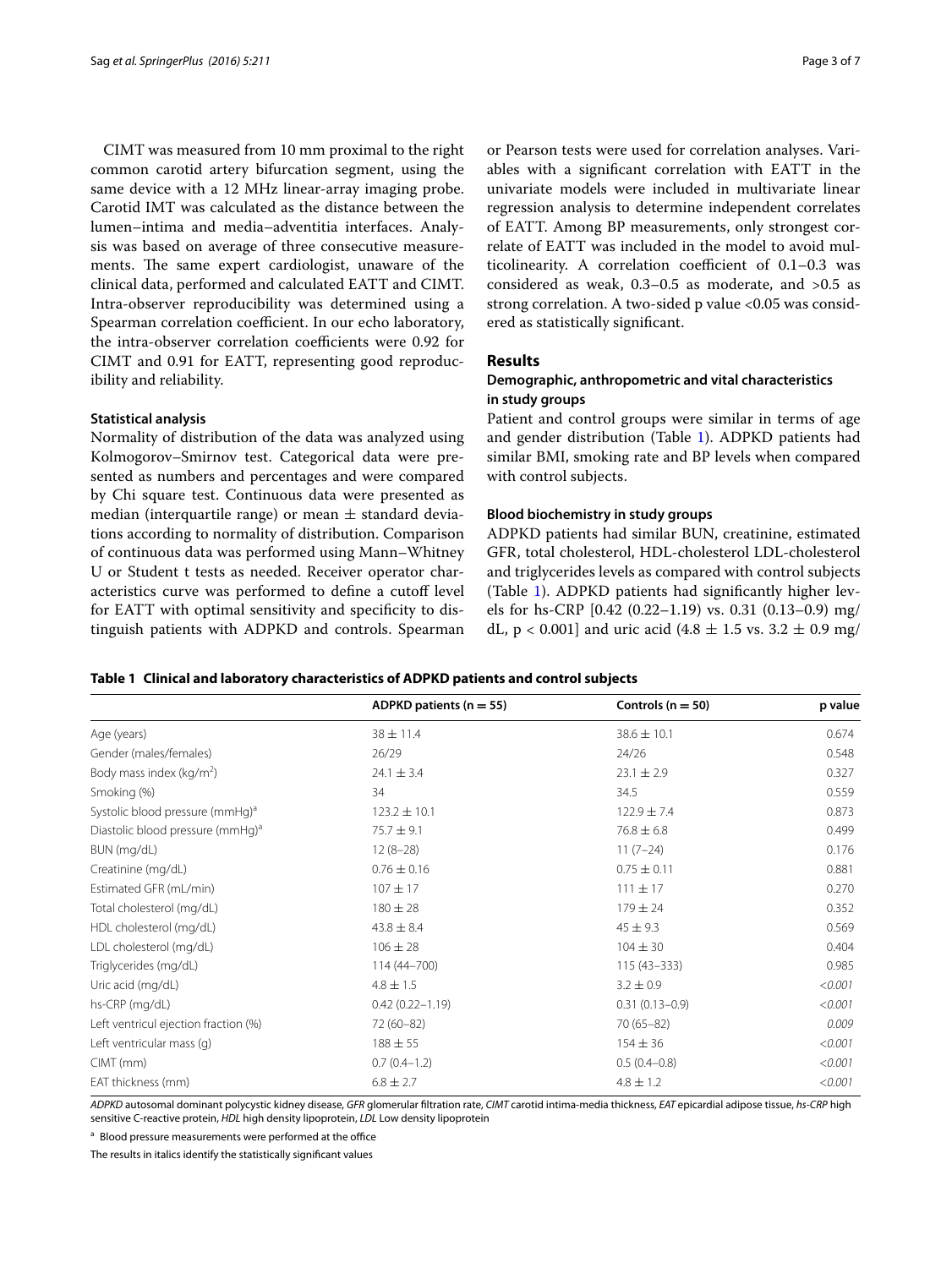CIMT was measured from 10 mm proximal to the right common carotid artery bifurcation segment, using the same device with a 12 MHz linear-array imaging probe. Carotid IMT was calculated as the distance between the lumen–intima and media–adventitia interfaces. Analysis was based on average of three consecutive measurements. The same expert cardiologist, unaware of the clinical data, performed and calculated EATT and CIMT. Intra-observer reproducibility was determined using a Spearman correlation coefficient. In our echo laboratory, the intra-observer correlation coefficients were 0.92 for CIMT and 0.91 for EATT, representing good reproducibility and reliability.

#### **Statistical analysis**

Normality of distribution of the data was analyzed using Kolmogorov–Smirnov test. Categorical data were presented as numbers and percentages and were compared by Chi square test. Continuous data were presented as median (interquartile range) or mean  $\pm$  standard deviations according to normality of distribution. Comparison of continuous data was performed using Mann–Whitney U or Student t tests as needed. Receiver operator characteristics curve was performed to define a cutoff level for EATT with optimal sensitivity and specificity to distinguish patients with ADPKD and controls. Spearman

or Pearson tests were used for correlation analyses. Variables with a significant correlation with EATT in the univariate models were included in multivariate linear regression analysis to determine independent correlates of EATT. Among BP measurements, only strongest correlate of EATT was included in the model to avoid multicolinearity. A correlation coefficient of 0.1–0.3 was considered as weak, 0.3–0.5 as moderate, and >0.5 as strong correlation. A two-sided p value <0.05 was considered as statistically significant.

## **Results**

## **Demographic, anthropometric and vital characteristics in study groups**

Patient and control groups were similar in terms of age and gender distribution (Table [1](#page-2-0)). ADPKD patients had similar BMI, smoking rate and BP levels when compared with control subjects.

### **Blood biochemistry in study groups**

ADPKD patients had similar BUN, creatinine, estimated GFR, total cholesterol, HDL-cholesterol LDL-cholesterol and triglycerides levels as compared with control subjects (Table [1\)](#page-2-0). ADPKD patients had significantly higher levels for hs-CRP [0.42 (0.22–1.19) vs. 0.31 (0.13–0.9) mg/ dL,  $p < 0.001$ ] and uric acid (4.8  $\pm$  1.5 vs. 3.2  $\pm$  0.9 mg/

<span id="page-2-0"></span>

|  | Table 1 Clinical and laboratory characteristics of ADPKD patients and control subjects |  |  |
|--|----------------------------------------------------------------------------------------|--|--|
|--|----------------------------------------------------------------------------------------|--|--|

|                                              | ADPKD patients ( $n = 55$ ) | Controls ( $n = 50$ ) | p value |
|----------------------------------------------|-----------------------------|-----------------------|---------|
| Age (years)                                  | $38 \pm 11.4$               | $38.6 \pm 10.1$       | 0.674   |
| Gender (males/females)                       | 26/29                       | 24/26                 | 0.548   |
| Body mass index ( $kg/m2$ )                  | $24.1 \pm 3.4$              | $23.1 \pm 2.9$        | 0.327   |
| Smoking (%)                                  | 34                          | 34.5                  | 0.559   |
| Systolic blood pressure (mmHg) <sup>a</sup>  | $123.2 \pm 10.1$            | $122.9 \pm 7.4$       | 0.873   |
| Diastolic blood pressure (mmHg) <sup>a</sup> | $75.7 \pm 9.1$              | $76.8 \pm 6.8$        | 0.499   |
| BUN (mg/dL)                                  | $12(8-28)$                  | $11(7-24)$            | 0.176   |
| Creatinine (mg/dL)                           | $0.76 \pm 0.16$             | $0.75 \pm 0.11$       | 0.881   |
| Estimated GFR (mL/min)                       | $107 + 17$                  | $111 \pm 17$          | 0.270   |
| Total cholesterol (mg/dL)                    | $180 \pm 28$                | $179 \pm 24$          | 0.352   |
| HDL cholesterol (mg/dL)                      | $43.8 \pm 8.4$              | $45 \pm 9.3$          | 0.569   |
| LDL cholesterol (mg/dL)                      | $106 \pm 28$                | $104 \pm 30$          | 0.404   |
| Triglycerides (mg/dL)                        | 114 (44 - 700)              | $115(43 - 333)$       | 0.985   |
| Uric acid (mg/dL)                            | $4.8 \pm 1.5$               | $3.2 \pm 0.9$         | < 0.001 |
| hs-CRP (mg/dL)                               | $0.42(0.22 - 1.19)$         | $0.31(0.13 - 0.9)$    | < 0.001 |
| Left ventricul ejection fraction (%)         | 72 (60-82)                  | $70(65 - 82)$         | 0.009   |
| Left ventricular mass (q)                    | $188 \pm 55$                | $154 \pm 36$          | < 0.001 |
| $CIMT$ (mm)                                  | $0.7(0.4-1.2)$              | $0.5(0.4 - 0.8)$      | < 0.001 |
| EAT thickness (mm)                           | $6.8 \pm 2.7$               | $4.8 \pm 1.2$         | < 0.001 |

*ADPKD* autosomal dominant polycystic kidney disease, *GFR* glomerular filtration rate, *CIMT* carotid intima-media thickness, *EAT* epicardial adipose tissue, *hs*-*CRP* high sensitive C-reactive protein, *HDL* high density lipoprotein, *LDL* Low density lipoprotein

a Blood pressure measurements were performed at the office

The results in italics identify the statistically significant values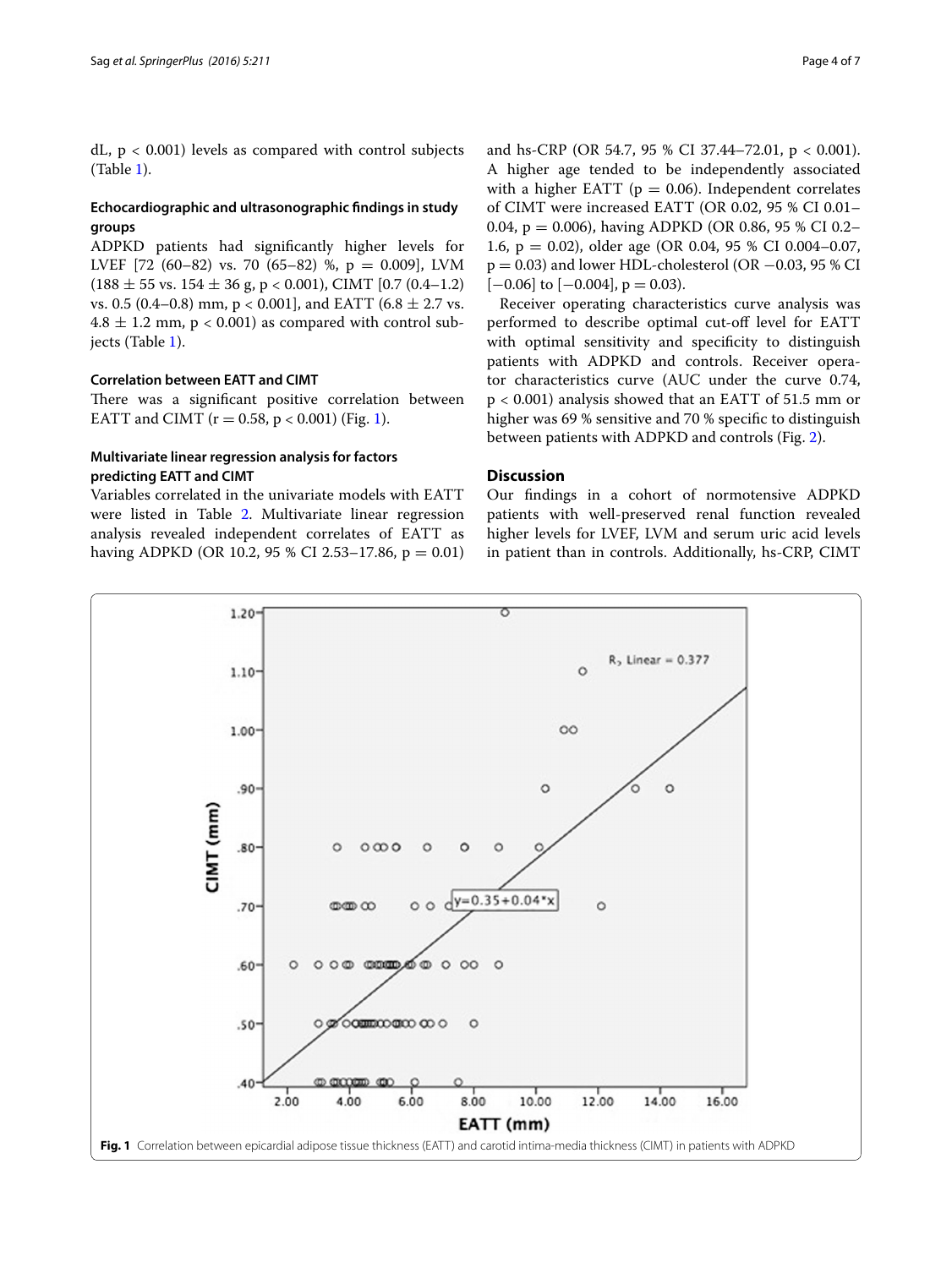dL,  $p < 0.001$ ) levels as compared with control subjects (Table [1](#page-2-0)).

## **Echocardiographic and ultrasonographic findings in study groups**

ADPKD patients had significantly higher levels for LVEF [72 (60–82) vs. 70 (65–82) %,  $p = 0.009$ ], LVM  $(188 \pm 55 \text{ vs. } 154 \pm 36 \text{ g}, \text{p} < 0.001)$ , CIMT  $[0.7 (0.4-1.2)]$ vs. 0.5 (0.4–0.8) mm,  $p < 0.001$ ], and EATT (6.8  $\pm$  2.7 vs.  $4.8 \pm 1.2$  mm, p < 0.001) as compared with control subjects (Table [1\)](#page-2-0).

## **Correlation between EATT and CIMT**

There was a significant positive correlation between EATT and CIMT ( $r = 0.58$ ,  $p < 0.001$ ) (Fig. [1\)](#page-3-0).

## **Multivariate linear regression analysis for factors predicting EATT and CIMT**

Variables correlated in the univariate models with EATT were listed in Table [2.](#page-4-0) Multivariate linear regression analysis revealed independent correlates of EATT as having ADPKD (OR 10.2, 95 % CI 2.53–17.86,  $p = 0.01$ )

and hs-CRP (OR 54.7, 95 % CI 37.44–72.01, p < 0.001). A higher age tended to be independently associated with a higher EATT ( $p = 0.06$ ). Independent correlates of CIMT were increased EATT (OR 0.02, 95 % CI 0.01– 0.04,  $p = 0.006$ ), having ADPKD (OR 0.86, 95 % CI 0.2– 1.6, p = 0.02), older age (OR 0.04, 95 % CI 0.004–0.07,  $p = 0.03$ ) and lower HDL-cholesterol (OR  $-0.03$ , 95 % CI  $[-0.06]$  to  $[-0.004]$ ,  $p = 0.03$ ).

Receiver operating characteristics curve analysis was performed to describe optimal cut-off level for EATT with optimal sensitivity and specificity to distinguish patients with ADPKD and controls. Receiver operator characteristics curve (AUC under the curve 0.74, p < 0.001) analysis showed that an EATT of 51.5 mm or higher was 69 % sensitive and 70 % specific to distinguish between patients with ADPKD and controls (Fig. [2](#page-4-1)).

## **Discussion**

Our findings in a cohort of normotensive ADPKD patients with well-preserved renal function revealed higher levels for LVEF, LVM and serum uric acid levels in patient than in controls. Additionally, hs-CRP, CIMT

<span id="page-3-0"></span>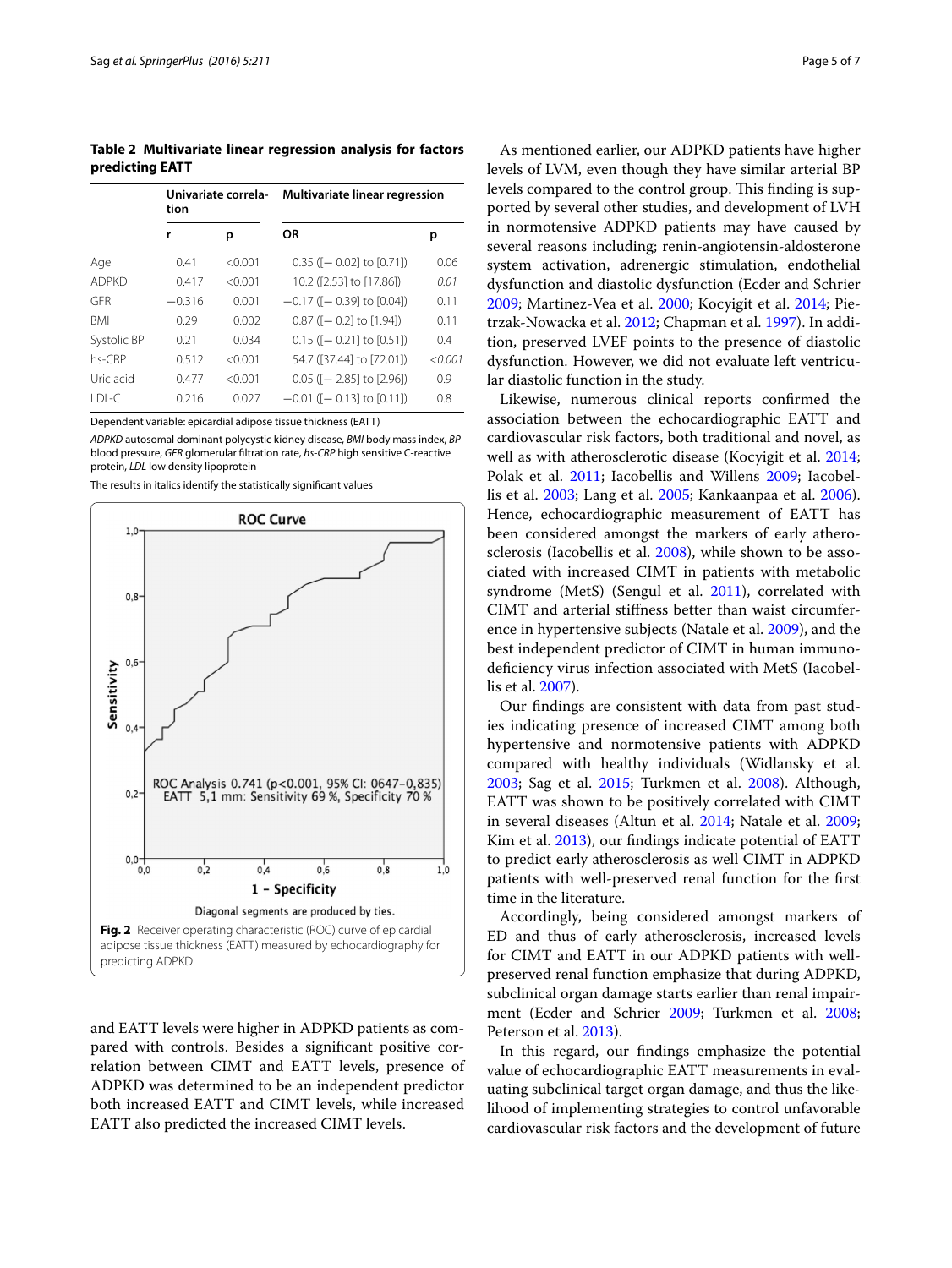<span id="page-4-0"></span>**Table 2 Multivariate linear regression analysis for factors predicting EATT**

|              | Univariate correla-<br>tion |         | Multivariate linear regression    |         |
|--------------|-----------------------------|---------|-----------------------------------|---------|
|              | r                           | р       | <b>OR</b>                         | р       |
| Age          | 0.41                        | < 0.001 | $0.35$ ( $-0.021$ to $[0.71]$ )   | 0.06    |
| <b>ADPKD</b> | 0.417                       | < 0.001 | 10.2 ([2.53] to [17.86])          | 0.01    |
| GFR          | $-0.316$                    | 0.001   | $-0.17$ ( $[-0.39]$ to $[0.04]$ ) | 0.11    |
| <b>BMI</b>   | 0.29                        | 0.002   | $0.87$ ( $-0.21$ to $[1.94]$ )    | 0.11    |
| Systolic BP  | 0.21                        | 0.034   | $0.15$ ( $-0.211$ to $[0.51]$ )   | 0.4     |
| $hs-CRP$     | 0.512                       | < 0.001 | 54.7 ([37.44] to [72.01])         | < 0.001 |
| Uric acid    | 0.477                       | < 0.001 | $0.05$ ( $-2.85$ ) to $[2.96]$ )  | 0.9     |
| $IDI-C$      | 0.216                       | 0.027   | $-0.01$ ( $-0.13$ ] to $[0.11]$ ) | 0.8     |

Dependent variable: epicardial adipose tissue thickness (EATT)

*ADPKD* autosomal dominant polycystic kidney disease, *BMI* body mass index, *BP* blood pressure, *GFR* glomerular filtration rate, *hs*-*CRP* high sensitive C-reactive protein, *LDL* low density lipoprotein

The results in italics identify the statistically significant values



<span id="page-4-1"></span>and EATT levels were higher in ADPKD patients as compared with controls. Besides a significant positive correlation between CIMT and EATT levels, presence of ADPKD was determined to be an independent predictor both increased EATT and CIMT levels, while increased EATT also predicted the increased CIMT levels.

As mentioned earlier, our ADPKD patients have higher levels of LVM, even though they have similar arterial BP levels compared to the control group. This finding is supported by several other studies, and development of LVH in normotensive ADPKD patients may have caused by several reasons including; renin-angiotensin-aldosterone system activation, adrenergic stimulation, endothelial dysfunction and diastolic dysfunction (Ecder and Schrier [2009](#page-5-0); Martinez-Vea et al. [2000;](#page-6-6) Kocyigit et al. [2014](#page-6-7); Pietrzak-Nowacka et al. [2012;](#page-6-14) Chapman et al. [1997\)](#page-5-7). In addition, preserved LVEF points to the presence of diastolic dysfunction. However, we did not evaluate left ventricular diastolic function in the study.

Likewise, numerous clinical reports confirmed the association between the echocardiographic EATT and cardiovascular risk factors, both traditional and novel, as well as with atherosclerotic disease (Kocyigit et al. [2014](#page-6-7); Polak et al. [2011](#page-6-8); Iacobellis and Willens [2009](#page-5-3); Iacobellis et al. [2003;](#page-5-6) Lang et al. [2005;](#page-6-13) Kankaanpaa et al. [2006](#page-5-8)). Hence, echocardiographic measurement of EATT has been considered amongst the markers of early atherosclerosis (Iacobellis et al. [2008\)](#page-5-9), while shown to be associated with increased CIMT in patients with metabolic syndrome (MetS) (Sengul et al. [2011](#page-6-15)), correlated with CIMT and arterial stiffness better than waist circumference in hypertensive subjects (Natale et al. [2009](#page-6-9)), and the best independent predictor of CIMT in human immunodeficiency virus infection associated with MetS (Iacobellis et al. [2007](#page-5-10)).

Our findings are consistent with data from past studies indicating presence of increased CIMT among both hypertensive and normotensive patients with ADPKD compared with healthy individuals (Widlansky et al. [2003](#page-6-1); Sag et al. [2015](#page-6-2); Turkmen et al. [2008\)](#page-6-3). Although, EATT was shown to be positively correlated with CIMT in several diseases (Altun et al. [2014;](#page-5-4) Natale et al. [2009](#page-6-9); Kim et al. [2013](#page-6-10)), our findings indicate potential of EATT to predict early atherosclerosis as well CIMT in ADPKD patients with well-preserved renal function for the first time in the literature.

Accordingly, being considered amongst markers of ED and thus of early atherosclerosis, increased levels for CIMT and EATT in our ADPKD patients with wellpreserved renal function emphasize that during ADPKD, subclinical organ damage starts earlier than renal impairment (Ecder and Schrier [2009](#page-5-0); Turkmen et al. [2008](#page-6-3); Peterson et al. [2013](#page-6-5)).

In this regard, our findings emphasize the potential value of echocardiographic EATT measurements in evaluating subclinical target organ damage, and thus the likelihood of implementing strategies to control unfavorable cardiovascular risk factors and the development of future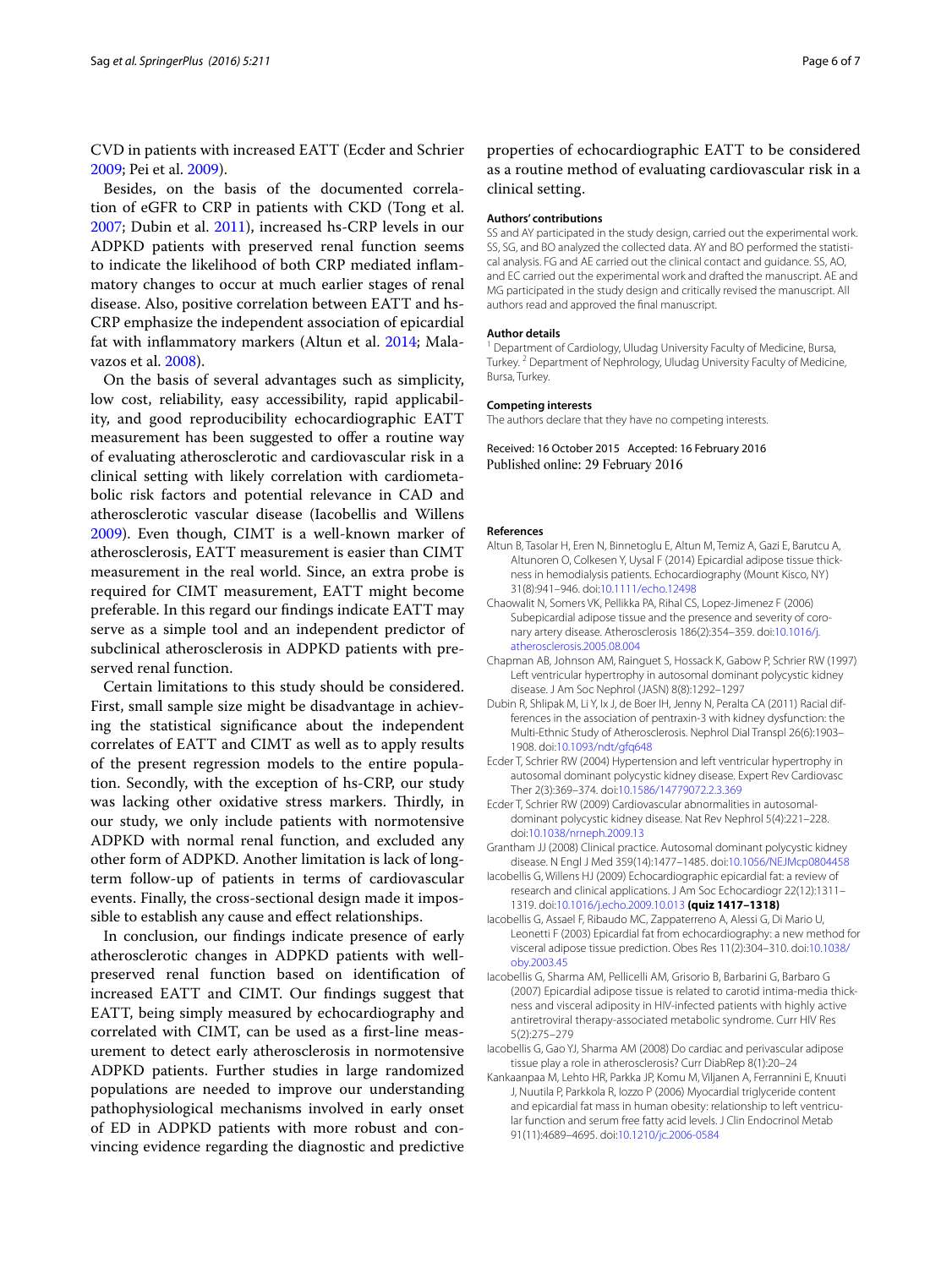CVD in patients with increased EATT (Ecder and Schrier [2009](#page-5-0); Pei et al. [2009\)](#page-6-11).

Besides, on the basis of the documented correlation of eGFR to CRP in patients with CKD (Tong et al. [2007](#page-6-16); Dubin et al. [2011\)](#page-5-11), increased hs-CRP levels in our ADPKD patients with preserved renal function seems to indicate the likelihood of both CRP mediated inflammatory changes to occur at much earlier stages of renal disease. Also, positive correlation between EATT and hs-CRP emphasize the independent association of epicardial fat with inflammatory markers (Altun et al. [2014;](#page-5-4) Malavazos et al. [2008\)](#page-6-17).

On the basis of several advantages such as simplicity, low cost, reliability, easy accessibility, rapid applicability, and good reproducibility echocardiographic EATT measurement has been suggested to offer a routine way of evaluating atherosclerotic and cardiovascular risk in a clinical setting with likely correlation with cardiometabolic risk factors and potential relevance in CAD and atherosclerotic vascular disease (Iacobellis and Willens [2009](#page-5-3)). Even though, CIMT is a well-known marker of atherosclerosis, EATT measurement is easier than CIMT measurement in the real world. Since, an extra probe is required for CIMT measurement, EATT might become preferable. In this regard our findings indicate EATT may serve as a simple tool and an independent predictor of subclinical atherosclerosis in ADPKD patients with preserved renal function.

Certain limitations to this study should be considered. First, small sample size might be disadvantage in achieving the statistical significance about the independent correlates of EATT and CIMT as well as to apply results of the present regression models to the entire population. Secondly, with the exception of hs-CRP, our study was lacking other oxidative stress markers. Thirdly, in our study, we only include patients with normotensive ADPKD with normal renal function, and excluded any other form of ADPKD. Another limitation is lack of longterm follow-up of patients in terms of cardiovascular events. Finally, the cross-sectional design made it impossible to establish any cause and effect relationships.

In conclusion, our findings indicate presence of early atherosclerotic changes in ADPKD patients with wellpreserved renal function based on identification of increased EATT and CIMT. Our findings suggest that EATT, being simply measured by echocardiography and correlated with CIMT, can be used as a first-line measurement to detect early atherosclerosis in normotensive ADPKD patients. Further studies in large randomized populations are needed to improve our understanding pathophysiological mechanisms involved in early onset of ED in ADPKD patients with more robust and convincing evidence regarding the diagnostic and predictive

properties of echocardiographic EATT to be considered as a routine method of evaluating cardiovascular risk in a clinical setting.

#### **Authors' contributions**

SS and AY participated in the study design, carried out the experimental work. SS, SG, and BO analyzed the collected data. AY and BO performed the statistical analysis. FG and AE carried out the clinical contact and guidance. SS, AO, and EC carried out the experimental work and drafted the manuscript. AE and MG participated in the study design and critically revised the manuscript. All authors read and approved the final manuscript.

#### **Author details**

<sup>1</sup> Department of Cardiology, Uludag University Faculty of Medicine, Bursa, Turkey. <sup>2</sup> Department of Nephrology, Uludag University Faculty of Medicine, Bursa, Turkey.

#### **Competing interests**

The authors declare that they have no competing interests.

Received: 16 October 2015 Accepted: 16 February 2016 Published online: 29 February 2016

#### **References**

- <span id="page-5-4"></span>Altun B, Tasolar H, Eren N, Binnetoglu E, Altun M, Temiz A, Gazi E, Barutcu A, Altunoren O, Colkesen Y, Uysal F (2014) Epicardial adipose tissue thickness in hemodialysis patients. Echocardiography (Mount Kisco, NY) 31(8):941–946. doi:[10.1111/echo.12498](http://dx.doi.org/10.1111/echo.12498)
- <span id="page-5-5"></span>Chaowalit N, Somers VK, Pellikka PA, Rihal CS, Lopez-Jimenez F (2006) Subepicardial adipose tissue and the presence and severity of coronary artery disease. Atherosclerosis 186(2):354–359. doi:[10.1016/j.](http://dx.doi.org/10.1016/j.atherosclerosis.2005.08.004) [atherosclerosis.2005.08.004](http://dx.doi.org/10.1016/j.atherosclerosis.2005.08.004)
- <span id="page-5-7"></span>Chapman AB, Johnson AM, Rainguet S, Hossack K, Gabow P, Schrier RW (1997) Left ventricular hypertrophy in autosomal dominant polycystic kidney disease. J Am Soc Nephrol (JASN) 8(8):1292–1297
- <span id="page-5-11"></span>Dubin R, Shlipak M, Li Y, Ix J, de Boer IH, Jenny N, Peralta CA (2011) Racial differences in the association of pentraxin-3 with kidney dysfunction: the Multi-Ethnic Study of Atherosclerosis. Nephrol Dial Transpl 26(6):1903– 1908. doi[:10.1093/ndt/gfq648](http://dx.doi.org/10.1093/ndt/gfq648)
- <span id="page-5-1"></span>Ecder T, Schrier RW (2004) Hypertension and left ventricular hypertrophy in autosomal dominant polycystic kidney disease. Expert Rev Cardiovasc Ther 2(3):369–374. doi:[10.1586/14779072.2.3.369](http://dx.doi.org/10.1586/14779072.2.3.369)
- <span id="page-5-0"></span>Ecder T, Schrier RW (2009) Cardiovascular abnormalities in autosomaldominant polycystic kidney disease. Nat Rev Nephrol 5(4):221–228. doi:[10.1038/nrneph.2009.13](http://dx.doi.org/10.1038/nrneph.2009.13)
- <span id="page-5-2"></span>Grantham JJ (2008) Clinical practice. Autosomal dominant polycystic kidney disease. N Engl J Med 359(14):1477–1485. doi:[10.1056/NEJMcp0804458](http://dx.doi.org/10.1056/NEJMcp0804458)
- <span id="page-5-3"></span>Iacobellis G, Willens HJ (2009) Echocardiographic epicardial fat: a review of research and clinical applications. J Am Soc Echocardiogr 22(12):1311– 1319. doi[:10.1016/j.echo.2009.10.013](http://dx.doi.org/10.1016/j.echo.2009.10.013) **(quiz 1417–1318)**
- <span id="page-5-6"></span>Iacobellis G, Assael F, Ribaudo MC, Zappaterreno A, Alessi G, Di Mario U, Leonetti F (2003) Epicardial fat from echocardiography: a new method for visceral adipose tissue prediction. Obes Res 11(2):304–310. doi[:10.1038/](http://dx.doi.org/10.1038/oby.2003.45) [oby.2003.45](http://dx.doi.org/10.1038/oby.2003.45)
- <span id="page-5-10"></span>Iacobellis G, Sharma AM, Pellicelli AM, Grisorio B, Barbarini G, Barbaro G (2007) Epicardial adipose tissue is related to carotid intima-media thickness and visceral adiposity in HIV-infected patients with highly active antiretroviral therapy-associated metabolic syndrome. Curr HIV Res 5(2):275–279
- <span id="page-5-9"></span>Iacobellis G, Gao YJ, Sharma AM (2008) Do cardiac and perivascular adipose tissue play a role in atherosclerosis? Curr DiabRep 8(1):20–24
- <span id="page-5-8"></span>Kankaanpaa M, Lehto HR, Parkka JP, Komu M, Viljanen A, Ferrannini E, Knuuti J, Nuutila P, Parkkola R, Iozzo P (2006) Myocardial triglyceride content and epicardial fat mass in human obesity: relationship to left ventricular function and serum free fatty acid levels. J Clin Endocrinol Metab 91(11):4689–4695. doi:[10.1210/jc.2006-0584](http://dx.doi.org/10.1210/jc.2006-0584)